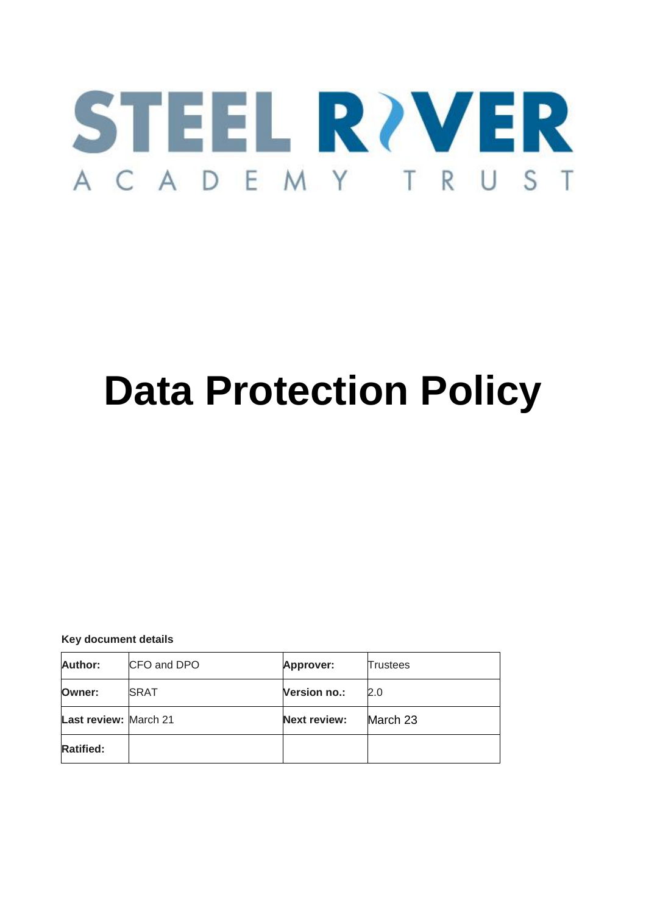

# **Data Protection Policy**

**Key document details**

| Author:                      | CFO and DPO  | Approver:           | Trustees |
|------------------------------|--------------|---------------------|----------|
| Owner:                       | <b>ISRAT</b> | <b>Version no.:</b> | 2.0      |
| <b>Last review: March 21</b> |              | <b>Next review:</b> | March 23 |
| <b>Ratified:</b>             |              |                     |          |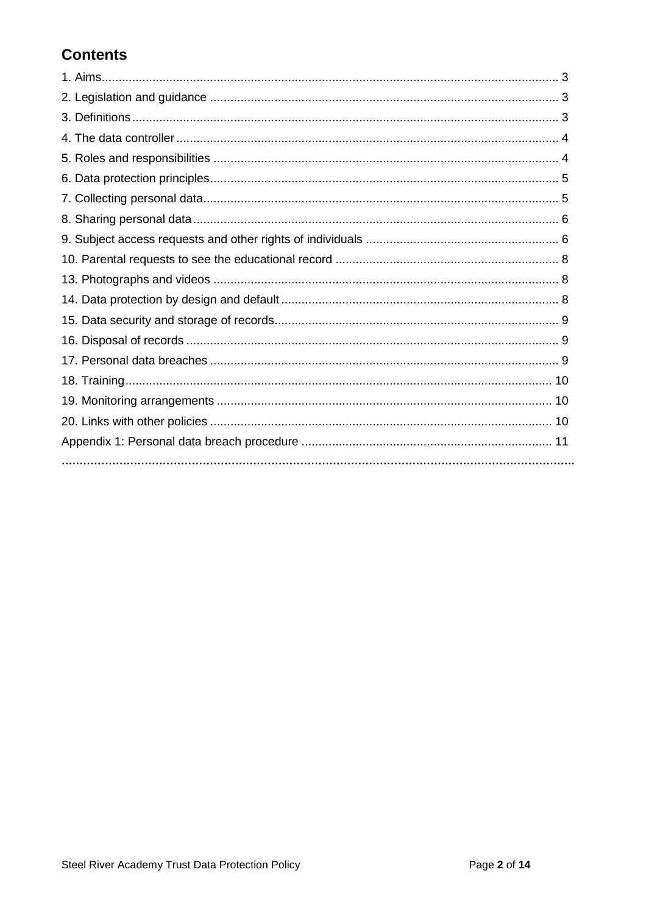# **Contents**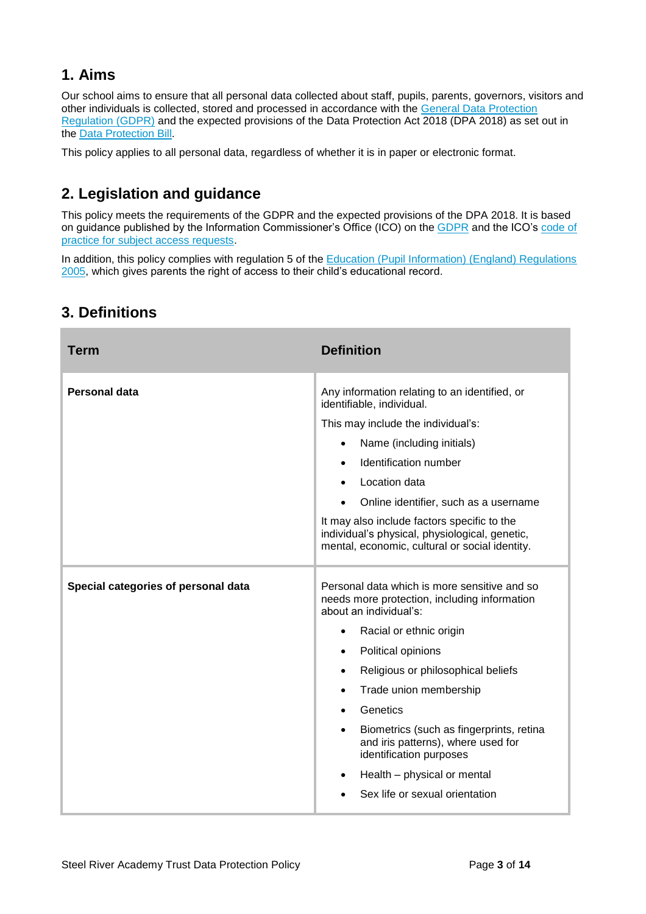## **1. Aims**

Our school aims to ensure that all personal data collected about staff, pupils, parents, governors, visitors and other individuals is collected, stored and processed in accordance with the [General Data Protection](http://data.consilium.europa.eu/doc/document/ST-5419-2016-INIT/en/pdf)  [Regulation \(GDPR\)](http://data.consilium.europa.eu/doc/document/ST-5419-2016-INIT/en/pdf) and the expected provisions of the Data Protection Act 2018 (DPA 2018) as set out in the [Data Protection Bill.](https://publications.parliament.uk/pa/bills/cbill/2017-2019/0153/18153.pdf)

This policy applies to all personal data, regardless of whether it is in paper or electronic format.

# **2. Legislation and guidance**

This policy meets the requirements of the GDPR and the expected provisions of the DPA 2018. It is based on guidance published by the Information Commissioner's Office (ICO) on the [GDPR](https://ico.org.uk/for-organisations/guide-to-the-general-data-protection-regulation-gdpr/) and the ICO's [code of](https://ico.org.uk/media/for-organisations/documents/2014223/subject-access-code-of-practice.pdf)  [practice for subject access requests.](https://ico.org.uk/media/for-organisations/documents/2014223/subject-access-code-of-practice.pdf)

In addition, this policy complies with regulation 5 of the [Education \(Pupil Information\) \(England\) Regulations](http://www.legislation.gov.uk/uksi/2005/1437/regulation/5/made)  [2005,](http://www.legislation.gov.uk/uksi/2005/1437/regulation/5/made) which gives parents the right of access to their child's educational record.

| Term                                | <b>Definition</b>                                                                                                                                                                                                                                                                                                                                                                                                                                                                     |  |
|-------------------------------------|---------------------------------------------------------------------------------------------------------------------------------------------------------------------------------------------------------------------------------------------------------------------------------------------------------------------------------------------------------------------------------------------------------------------------------------------------------------------------------------|--|
| <b>Personal data</b>                | Any information relating to an identified, or<br>identifiable, individual.<br>This may include the individual's:<br>Name (including initials)<br>$\bullet$<br>Identification number<br>$\bullet$<br>Location data<br>$\bullet$<br>Online identifier, such as a username<br>$\bullet$<br>It may also include factors specific to the<br>individual's physical, physiological, genetic,<br>mental, economic, cultural or social identity.                                               |  |
| Special categories of personal data | Personal data which is more sensitive and so<br>needs more protection, including information<br>about an individual's:<br>Racial or ethnic origin<br>$\bullet$<br>Political opinions<br>$\bullet$<br>Religious or philosophical beliefs<br>$\bullet$<br>Trade union membership<br>$\bullet$<br>Genetics<br>Biometrics (such as fingerprints, retina<br>and iris patterns), where used for<br>identification purposes<br>Health - physical or mental<br>Sex life or sexual orientation |  |

# **3. Definitions**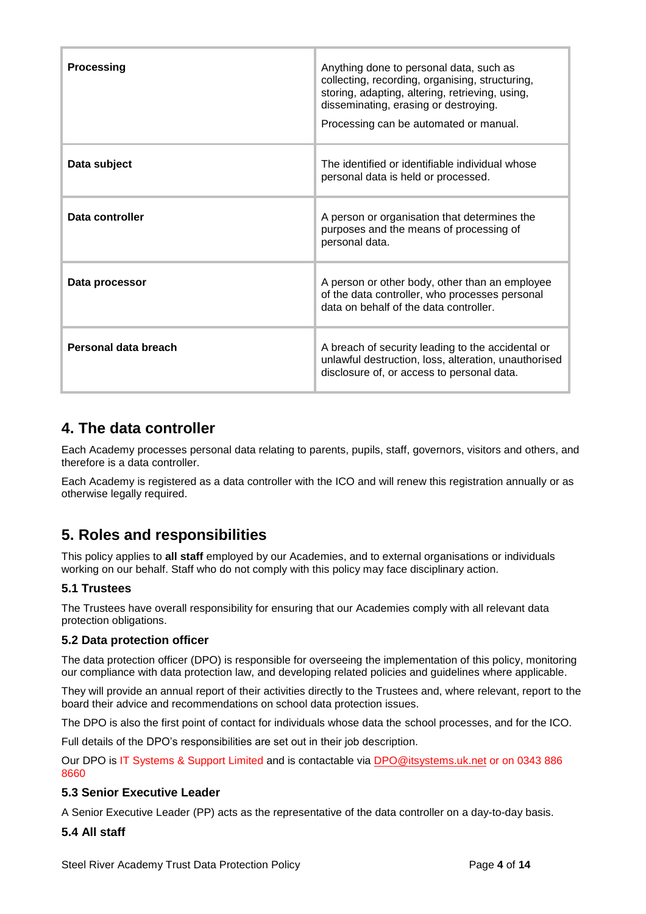| <b>Processing</b>    | Anything done to personal data, such as<br>collecting, recording, organising, structuring,<br>storing, adapting, altering, retrieving, using,<br>disseminating, erasing or destroying.<br>Processing can be automated or manual. |  |
|----------------------|----------------------------------------------------------------------------------------------------------------------------------------------------------------------------------------------------------------------------------|--|
| Data subject         | The identified or identifiable individual whose<br>personal data is held or processed.                                                                                                                                           |  |
| Data controller      | A person or organisation that determines the<br>purposes and the means of processing of<br>personal data.                                                                                                                        |  |
| Data processor       | A person or other body, other than an employee<br>of the data controller, who processes personal<br>data on behalf of the data controller.                                                                                       |  |
| Personal data breach | A breach of security leading to the accidental or<br>unlawful destruction, loss, alteration, unauthorised<br>disclosure of, or access to personal data.                                                                          |  |

## **4. The data controller**

Each Academy processes personal data relating to parents, pupils, staff, governors, visitors and others, and therefore is a data controller.

Each Academy is registered as a data controller with the ICO and will renew this registration annually or as otherwise legally required.

# **5. Roles and responsibilities**

This policy applies to **all staff** employed by our Academies, and to external organisations or individuals working on our behalf. Staff who do not comply with this policy may face disciplinary action.

## **5.1 Trustees**

The Trustees have overall responsibility for ensuring that our Academies comply with all relevant data protection obligations.

## **5.2 Data protection officer**

The data protection officer (DPO) is responsible for overseeing the implementation of this policy, monitoring our compliance with data protection law, and developing related policies and guidelines where applicable.

They will provide an annual report of their activities directly to the Trustees and, where relevant, report to the board their advice and recommendations on school data protection issues.

The DPO is also the first point of contact for individuals whose data the school processes, and for the ICO.

Full details of the DPO's responsibilities are set out in their job description.

Our DPO is IT Systems & Support Limited and is contactable via [DPO@itsystems.uk.net](mailto:DPO@itsystems.uk.net) or on 0343 886 8660

## **5.3 Senior Executive Leader**

A Senior Executive Leader (PP) acts as the representative of the data controller on a day-to-day basis.

## **5.4 All staff**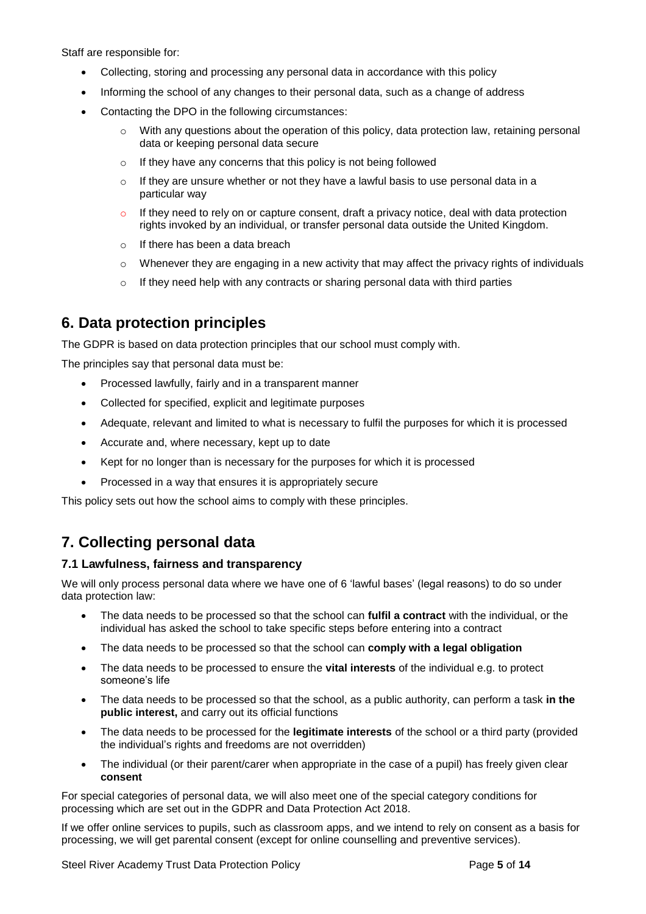Staff are responsible for:

- Collecting, storing and processing any personal data in accordance with this policy
- Informing the school of any changes to their personal data, such as a change of address
- Contacting the DPO in the following circumstances:
	- $\circ$  With any questions about the operation of this policy, data protection law, retaining personal data or keeping personal data secure
	- o If they have any concerns that this policy is not being followed
	- $\circ$  If they are unsure whether or not they have a lawful basis to use personal data in a particular way
	- If they need to rely on or capture consent, draft a privacy notice, deal with data protection rights invoked by an individual, or transfer personal data outside the United Kingdom.
	- o If there has been a data breach
	- $\circ$  Whenever they are engaging in a new activity that may affect the privacy rights of individuals
	- $\circ$  If they need help with any contracts or sharing personal data with third parties

## **6. Data protection principles**

The GDPR is based on data protection principles that our school must comply with.

The principles say that personal data must be:

- Processed lawfully, fairly and in a transparent manner
- Collected for specified, explicit and legitimate purposes
- Adequate, relevant and limited to what is necessary to fulfil the purposes for which it is processed
- Accurate and, where necessary, kept up to date
- Kept for no longer than is necessary for the purposes for which it is processed
- Processed in a way that ensures it is appropriately secure

This policy sets out how the school aims to comply with these principles.

# **7. Collecting personal data**

#### **7.1 Lawfulness, fairness and transparency**

We will only process personal data where we have one of 6 'lawful bases' (legal reasons) to do so under data protection law:

- The data needs to be processed so that the school can **fulfil a contract** with the individual, or the individual has asked the school to take specific steps before entering into a contract
- The data needs to be processed so that the school can **comply with a legal obligation**
- The data needs to be processed to ensure the **vital interests** of the individual e.g. to protect someone's life
- The data needs to be processed so that the school, as a public authority, can perform a task **in the public interest,** and carry out its official functions
- The data needs to be processed for the **legitimate interests** of the school or a third party (provided the individual's rights and freedoms are not overridden)
- The individual (or their parent/carer when appropriate in the case of a pupil) has freely given clear **consent**

For special categories of personal data, we will also meet one of the special category conditions for processing which are set out in the GDPR and Data Protection Act 2018.

If we offer online services to pupils, such as classroom apps, and we intend to rely on consent as a basis for processing, we will get parental consent (except for online counselling and preventive services).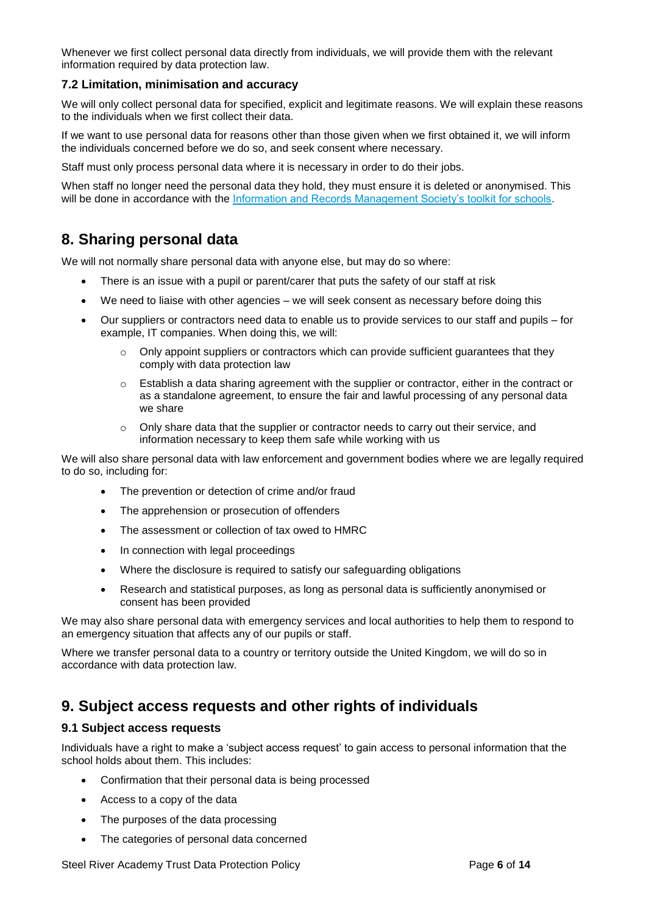Whenever we first collect personal data directly from individuals, we will provide them with the relevant information required by data protection law.

#### **7.2 Limitation, minimisation and accuracy**

We will only collect personal data for specified, explicit and legitimate reasons. We will explain these reasons to the individuals when we first collect their data.

If we want to use personal data for reasons other than those given when we first obtained it, we will inform the individuals concerned before we do so, and seek consent where necessary.

Staff must only process personal data where it is necessary in order to do their jobs.

When staff no longer need the personal data they hold, they must ensure it is deleted or anonymised. This will be done in accordance with the [Information and Records Management Society's toolkit for schools.](http://irms.org.uk/?page=schoolstoolkit&terms=%22toolkit+and+schools%22)

## **8. Sharing personal data**

We will not normally share personal data with anyone else, but may do so where:

- There is an issue with a pupil or parent/carer that puts the safety of our staff at risk
- We need to liaise with other agencies we will seek consent as necessary before doing this
- Our suppliers or contractors need data to enable us to provide services to our staff and pupils for example, IT companies. When doing this, we will:
	- $\circ$  Only appoint suppliers or contractors which can provide sufficient guarantees that they comply with data protection law
	- $\circ$  Establish a data sharing agreement with the supplier or contractor, either in the contract or as a standalone agreement, to ensure the fair and lawful processing of any personal data we share
	- $\circ$  Only share data that the supplier or contractor needs to carry out their service, and information necessary to keep them safe while working with us

We will also share personal data with law enforcement and government bodies where we are legally required to do so, including for:

- The prevention or detection of crime and/or fraud
- The apprehension or prosecution of offenders
- The assessment or collection of tax owed to HMRC
- In connection with legal proceedings
- Where the disclosure is required to satisfy our safeguarding obligations
- Research and statistical purposes, as long as personal data is sufficiently anonymised or consent has been provided

We may also share personal data with emergency services and local authorities to help them to respond to an emergency situation that affects any of our pupils or staff.

Where we transfer personal data to a country or territory outside the United Kingdom, we will do so in accordance with data protection law.

## **9. Subject access requests and other rights of individuals**

#### **9.1 Subject access requests**

Individuals have a right to make a 'subject access request' to gain access to personal information that the school holds about them. This includes:

- Confirmation that their personal data is being processed
- Access to a copy of the data
- The purposes of the data processing
- The categories of personal data concerned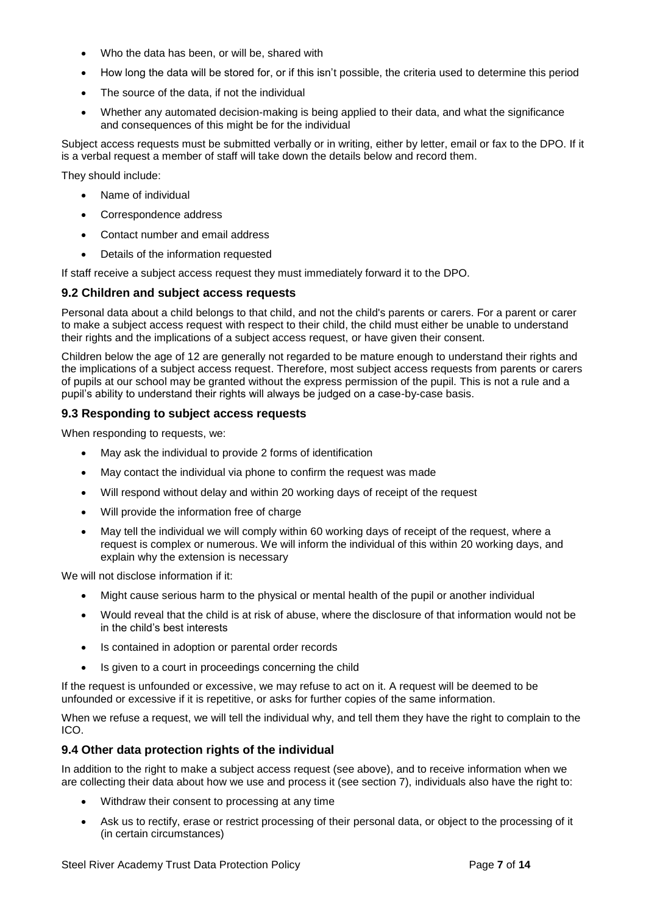- Who the data has been, or will be, shared with
- How long the data will be stored for, or if this isn't possible, the criteria used to determine this period
- The source of the data, if not the individual
- Whether any automated decision-making is being applied to their data, and what the significance and consequences of this might be for the individual

Subject access requests must be submitted verbally or in writing, either by letter, email or fax to the DPO. If it is a verbal request a member of staff will take down the details below and record them.

They should include:

- Name of individual
- Correspondence address
- Contact number and email address
- Details of the information requested

If staff receive a subject access request they must immediately forward it to the DPO.

#### **9.2 Children and subject access requests**

Personal data about a child belongs to that child, and not the child's parents or carers. For a parent or carer to make a subject access request with respect to their child, the child must either be unable to understand their rights and the implications of a subject access request, or have given their consent.

Children below the age of 12 are generally not regarded to be mature enough to understand their rights and the implications of a subject access request. Therefore, most subject access requests from parents or carers of pupils at our school may be granted without the express permission of the pupil. This is not a rule and a pupil's ability to understand their rights will always be judged on a case-by-case basis.

#### **9.3 Responding to subject access requests**

When responding to requests, we:

- May ask the individual to provide 2 forms of identification
- May contact the individual via phone to confirm the request was made
- Will respond without delay and within 20 working days of receipt of the request
- Will provide the information free of charge
- May tell the individual we will comply within 60 working days of receipt of the request, where a request is complex or numerous. We will inform the individual of this within 20 working days, and explain why the extension is necessary

We will not disclose information if it:

- Might cause serious harm to the physical or mental health of the pupil or another individual
- Would reveal that the child is at risk of abuse, where the disclosure of that information would not be in the child's best interests
- Is contained in adoption or parental order records
- Is given to a court in proceedings concerning the child

If the request is unfounded or excessive, we may refuse to act on it. A request will be deemed to be unfounded or excessive if it is repetitive, or asks for further copies of the same information.

When we refuse a request, we will tell the individual why, and tell them they have the right to complain to the ICO.

#### **9.4 Other data protection rights of the individual**

In addition to the right to make a subject access request (see above), and to receive information when we are collecting their data about how we use and process it (see section 7), individuals also have the right to:

- Withdraw their consent to processing at any time
- Ask us to rectify, erase or restrict processing of their personal data, or object to the processing of it (in certain circumstances)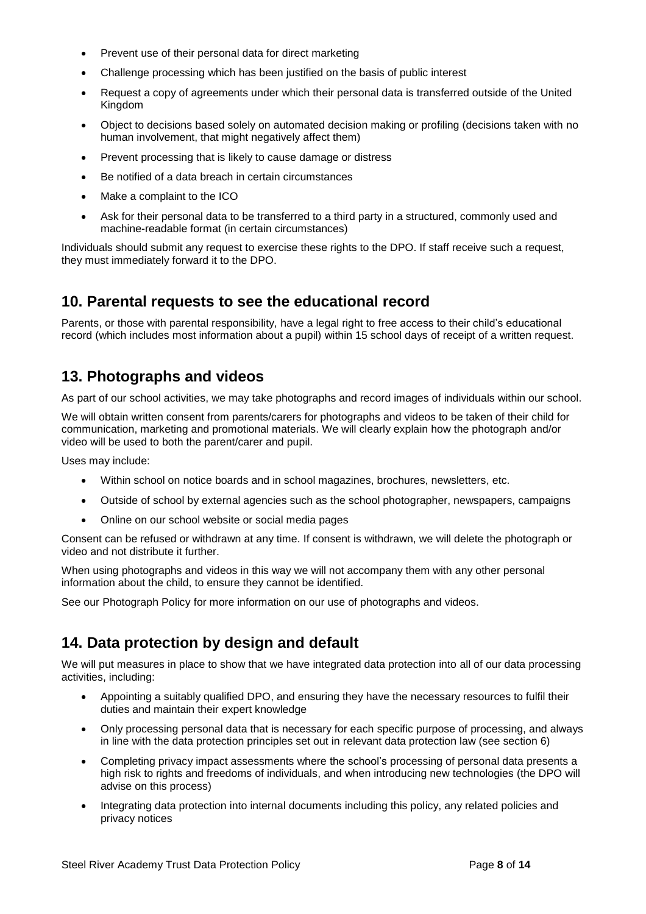- Prevent use of their personal data for direct marketing
- Challenge processing which has been justified on the basis of public interest
- Request a copy of agreements under which their personal data is transferred outside of the United Kingdom
- Object to decisions based solely on automated decision making or profiling (decisions taken with no human involvement, that might negatively affect them)
- Prevent processing that is likely to cause damage or distress
- Be notified of a data breach in certain circumstances
- Make a complaint to the ICO
- Ask for their personal data to be transferred to a third party in a structured, commonly used and machine-readable format (in certain circumstances)

Individuals should submit any request to exercise these rights to the DPO. If staff receive such a request, they must immediately forward it to the DPO.

## **10. Parental requests to see the educational record**

Parents, or those with parental responsibility, have a legal right to free access to their child's educational record (which includes most information about a pupil) within 15 school days of receipt of a written request.

## **13. Photographs and videos**

As part of our school activities, we may take photographs and record images of individuals within our school.

We will obtain written consent from parents/carers for photographs and videos to be taken of their child for communication, marketing and promotional materials. We will clearly explain how the photograph and/or video will be used to both the parent/carer and pupil.

Uses may include:

- Within school on notice boards and in school magazines, brochures, newsletters, etc.
- Outside of school by external agencies such as the school photographer, newspapers, campaigns
- Online on our school website or social media pages

Consent can be refused or withdrawn at any time. If consent is withdrawn, we will delete the photograph or video and not distribute it further.

When using photographs and videos in this way we will not accompany them with any other personal information about the child, to ensure they cannot be identified.

See our Photograph Policy for more information on our use of photographs and videos.

## **14. Data protection by design and default**

We will put measures in place to show that we have integrated data protection into all of our data processing activities, including:

- Appointing a suitably qualified DPO, and ensuring they have the necessary resources to fulfil their duties and maintain their expert knowledge
- Only processing personal data that is necessary for each specific purpose of processing, and always in line with the data protection principles set out in relevant data protection law (see section 6)
- Completing privacy impact assessments where the school's processing of personal data presents a high risk to rights and freedoms of individuals, and when introducing new technologies (the DPO will advise on this process)
- Integrating data protection into internal documents including this policy, any related policies and privacy notices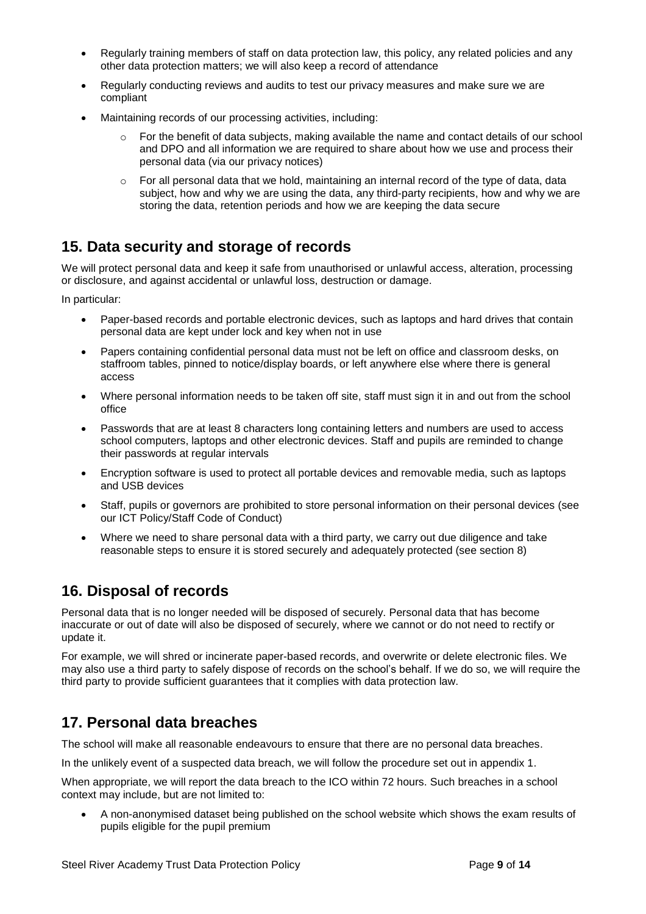- Regularly training members of staff on data protection law, this policy, any related policies and any other data protection matters; we will also keep a record of attendance
- Regularly conducting reviews and audits to test our privacy measures and make sure we are compliant
- Maintaining records of our processing activities, including:
	- For the benefit of data subjects, making available the name and contact details of our school and DPO and all information we are required to share about how we use and process their personal data (via our privacy notices)
	- $\circ$  For all personal data that we hold, maintaining an internal record of the type of data, data subject, how and why we are using the data, any third-party recipients, how and why we are storing the data, retention periods and how we are keeping the data secure

# **15. Data security and storage of records**

We will protect personal data and keep it safe from unauthorised or unlawful access, alteration, processing or disclosure, and against accidental or unlawful loss, destruction or damage.

In particular:

- Paper-based records and portable electronic devices, such as laptops and hard drives that contain personal data are kept under lock and key when not in use
- Papers containing confidential personal data must not be left on office and classroom desks, on staffroom tables, pinned to notice/display boards, or left anywhere else where there is general access
- Where personal information needs to be taken off site, staff must sign it in and out from the school office
- Passwords that are at least 8 characters long containing letters and numbers are used to access school computers, laptops and other electronic devices. Staff and pupils are reminded to change their passwords at regular intervals
- Encryption software is used to protect all portable devices and removable media, such as laptops and USB devices
- Staff, pupils or governors are prohibited to store personal information on their personal devices (see our ICT Policy/Staff Code of Conduct)
- Where we need to share personal data with a third party, we carry out due diligence and take reasonable steps to ensure it is stored securely and adequately protected (see section 8)

# **16. Disposal of records**

Personal data that is no longer needed will be disposed of securely. Personal data that has become inaccurate or out of date will also be disposed of securely, where we cannot or do not need to rectify or update it.

For example, we will shred or incinerate paper-based records, and overwrite or delete electronic files. We may also use a third party to safely dispose of records on the school's behalf. If we do so, we will require the third party to provide sufficient guarantees that it complies with data protection law.

# **17. Personal data breaches**

The school will make all reasonable endeavours to ensure that there are no personal data breaches.

In the unlikely event of a suspected data breach, we will follow the procedure set out in appendix 1.

When appropriate, we will report the data breach to the ICO within 72 hours. Such breaches in a school context may include, but are not limited to:

 A non-anonymised dataset being published on the school website which shows the exam results of pupils eligible for the pupil premium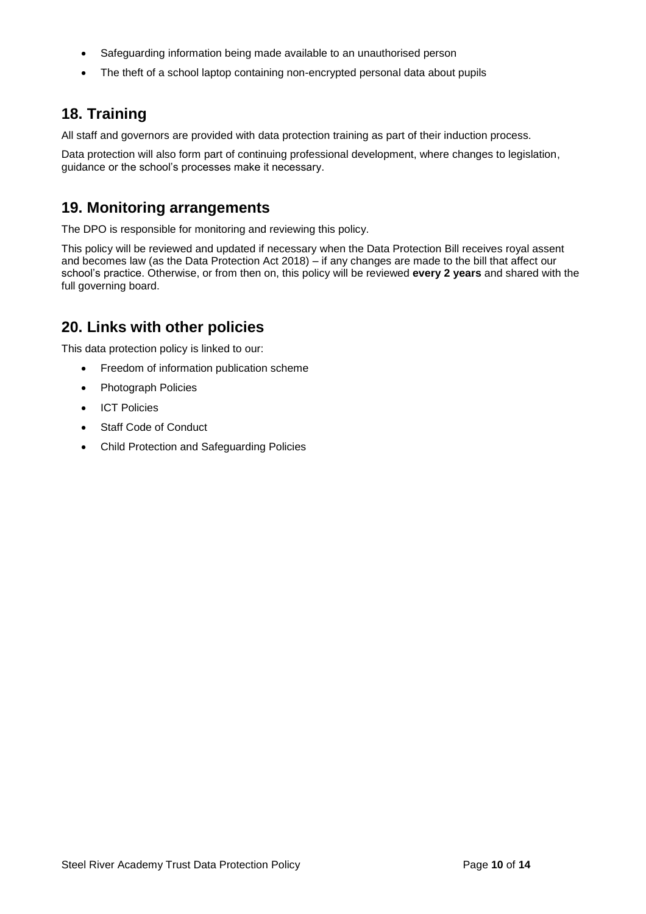- Safeguarding information being made available to an unauthorised person
- The theft of a school laptop containing non-encrypted personal data about pupils

# **18. Training**

All staff and governors are provided with data protection training as part of their induction process.

Data protection will also form part of continuing professional development, where changes to legislation, guidance or the school's processes make it necessary.

## **19. Monitoring arrangements**

The DPO is responsible for monitoring and reviewing this policy.

This policy will be reviewed and updated if necessary when the Data Protection Bill receives royal assent and becomes law (as the Data Protection Act 2018) – if any changes are made to the bill that affect our school's practice. Otherwise, or from then on, this policy will be reviewed **every 2 years** and shared with the full governing board.

# **20. Links with other policies**

This data protection policy is linked to our:

- Freedom of information publication scheme
- Photograph Policies
- ICT Policies
- Staff Code of Conduct
- Child Protection and Safeguarding Policies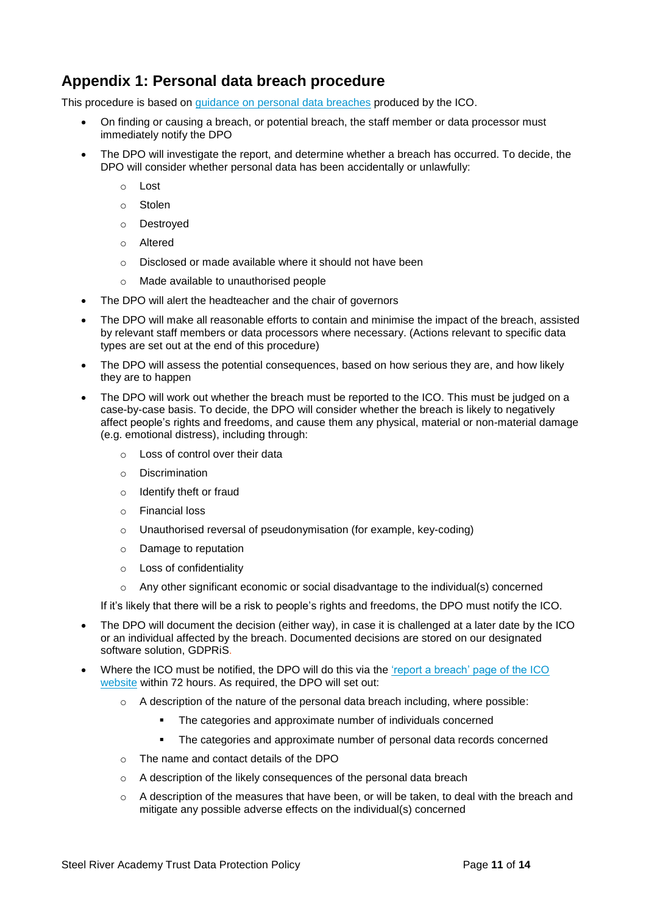# **Appendix 1: Personal data breach procedure**

This procedure is based on [guidance on personal data breaches](https://ico.org.uk/for-organisations/guide-to-the-general-data-protection-regulation-gdpr/personal-data-breaches/) produced by the ICO.

- On finding or causing a breach, or potential breach, the staff member or data processor must immediately notify the DPO
- The DPO will investigate the report, and determine whether a breach has occurred. To decide, the DPO will consider whether personal data has been accidentally or unlawfully:
	- o Lost
	- o Stolen
	- o Destroyed
	- o Altered
	- o Disclosed or made available where it should not have been
	- o Made available to unauthorised people
- The DPO will alert the headteacher and the chair of governors
- The DPO will make all reasonable efforts to contain and minimise the impact of the breach, assisted by relevant staff members or data processors where necessary. (Actions relevant to specific data types are set out at the end of this procedure)
- The DPO will assess the potential consequences, based on how serious they are, and how likely they are to happen
- The DPO will work out whether the breach must be reported to the ICO. This must be judged on a case-by-case basis. To decide, the DPO will consider whether the breach is likely to negatively affect people's rights and freedoms, and cause them any physical, material or non-material damage (e.g. emotional distress), including through:
	- o Loss of control over their data
	- o Discrimination
	- o Identify theft or fraud
	- o Financial loss
	- o Unauthorised reversal of pseudonymisation (for example, key-coding)
	- o Damage to reputation
	- o Loss of confidentiality
	- o Any other significant economic or social disadvantage to the individual(s) concerned

If it's likely that there will be a risk to people's rights and freedoms, the DPO must notify the ICO.

- The DPO will document the decision (either way), in case it is challenged at a later date by the ICO or an individual affected by the breach. Documented decisions are stored on our designated software solution, GDPRiS.
- Where the ICO must be notified, the DPO will do this via the ['report a breach' page of the ICO](https://ico.org.uk/for-organisations/report-a-breach/)  [website](https://ico.org.uk/for-organisations/report-a-breach/) within 72 hours. As required, the DPO will set out:
	- o A description of the nature of the personal data breach including, where possible:
		- The categories and approximate number of individuals concerned
		- The categories and approximate number of personal data records concerned
	- o The name and contact details of the DPO
	- o A description of the likely consequences of the personal data breach
	- $\circ$  A description of the measures that have been, or will be taken, to deal with the breach and mitigate any possible adverse effects on the individual(s) concerned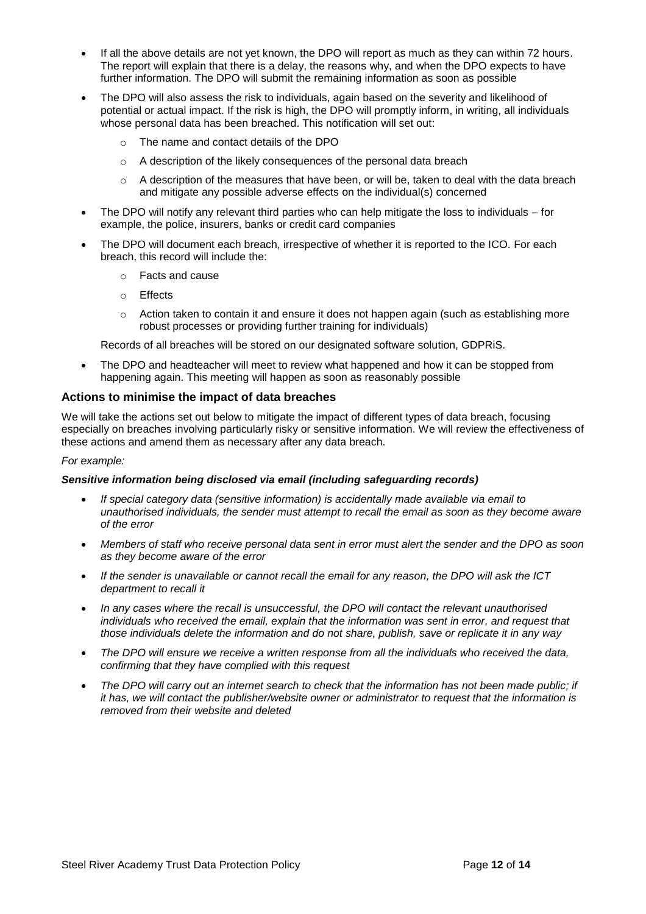- If all the above details are not yet known, the DPO will report as much as they can within 72 hours. The report will explain that there is a delay, the reasons why, and when the DPO expects to have further information. The DPO will submit the remaining information as soon as possible
- The DPO will also assess the risk to individuals, again based on the severity and likelihood of potential or actual impact. If the risk is high, the DPO will promptly inform, in writing, all individuals whose personal data has been breached. This notification will set out:
	- o The name and contact details of the DPO
	- o A description of the likely consequences of the personal data breach
	- $\circ$  A description of the measures that have been, or will be, taken to deal with the data breach and mitigate any possible adverse effects on the individual(s) concerned
- The DPO will notify any relevant third parties who can help mitigate the loss to individuals for example, the police, insurers, banks or credit card companies
- The DPO will document each breach, irrespective of whether it is reported to the ICO. For each breach, this record will include the:
	- o Facts and cause
	- o Effects
	- $\circ$  Action taken to contain it and ensure it does not happen again (such as establishing more robust processes or providing further training for individuals)

Records of all breaches will be stored on our designated software solution, GDPRiS.

 The DPO and headteacher will meet to review what happened and how it can be stopped from happening again. This meeting will happen as soon as reasonably possible

#### **Actions to minimise the impact of data breaches**

We will take the actions set out below to mitigate the impact of different types of data breach, focusing especially on breaches involving particularly risky or sensitive information. We will review the effectiveness of these actions and amend them as necessary after any data breach.

#### *For example:*

#### *Sensitive information being disclosed via email (including safeguarding records)*

- *If special category data (sensitive information) is accidentally made available via email to unauthorised individuals, the sender must attempt to recall the email as soon as they become aware of the error*
- *Members of staff who receive personal data sent in error must alert the sender and the DPO as soon as they become aware of the error*
- *If the sender is unavailable or cannot recall the email for any reason, the DPO will ask the ICT department to recall it*
- *In any cases where the recall is unsuccessful, the DPO will contact the relevant unauthorised individuals who received the email, explain that the information was sent in error, and request that those individuals delete the information and do not share, publish, save or replicate it in any way*
- *The DPO will ensure we receive a written response from all the individuals who received the data, confirming that they have complied with this request*
- *The DPO will carry out an internet search to check that the information has not been made public; if it has, we will contact the publisher/website owner or administrator to request that the information is removed from their website and deleted*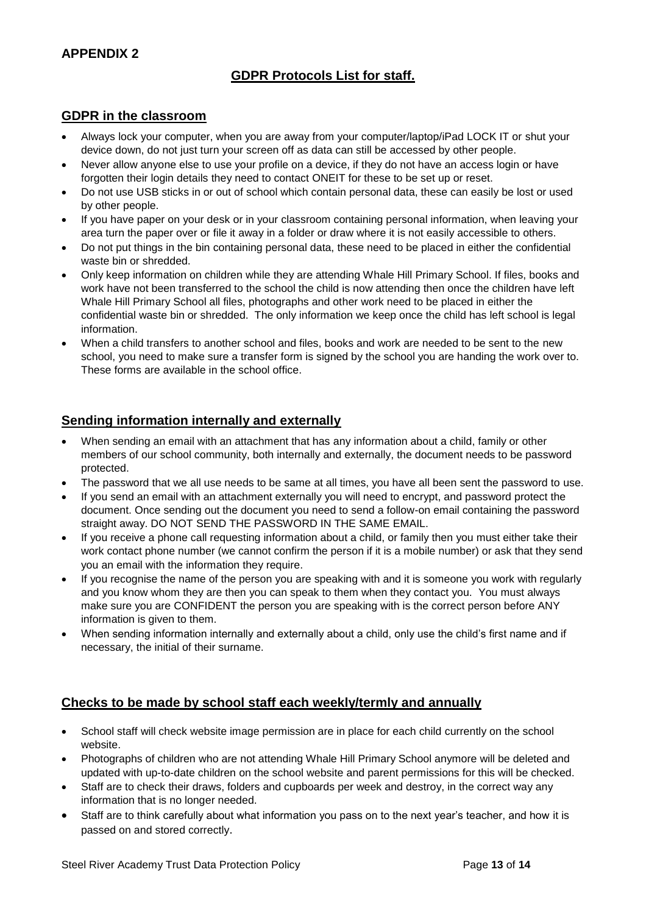## **APPENDIX 2**

## **GDPR Protocols List for staff.**

## **GDPR in the classroom**

- Always lock your computer, when you are away from your computer/laptop/iPad LOCK IT or shut your device down, do not just turn your screen off as data can still be accessed by other people.
- Never allow anyone else to use your profile on a device, if they do not have an access login or have forgotten their login details they need to contact ONEIT for these to be set up or reset.
- Do not use USB sticks in or out of school which contain personal data, these can easily be lost or used by other people.
- If you have paper on your desk or in your classroom containing personal information, when leaving your area turn the paper over or file it away in a folder or draw where it is not easily accessible to others.
- Do not put things in the bin containing personal data, these need to be placed in either the confidential waste bin or shredded.
- Only keep information on children while they are attending Whale Hill Primary School. If files, books and work have not been transferred to the school the child is now attending then once the children have left Whale Hill Primary School all files, photographs and other work need to be placed in either the confidential waste bin or shredded. The only information we keep once the child has left school is legal information.
- When a child transfers to another school and files, books and work are needed to be sent to the new school, you need to make sure a transfer form is signed by the school you are handing the work over to. These forms are available in the school office.

## **Sending information internally and externally**

- When sending an email with an attachment that has any information about a child, family or other members of our school community, both internally and externally, the document needs to be password protected.
- The password that we all use needs to be same at all times, you have all been sent the password to use.
- If you send an email with an attachment externally you will need to encrypt, and password protect the document. Once sending out the document you need to send a follow-on email containing the password straight away. DO NOT SEND THE PASSWORD IN THE SAME EMAIL.
- If you receive a phone call requesting information about a child, or family then you must either take their work contact phone number (we cannot confirm the person if it is a mobile number) or ask that they send you an email with the information they require.
- If you recognise the name of the person you are speaking with and it is someone you work with regularly and you know whom they are then you can speak to them when they contact you. You must always make sure you are CONFIDENT the person you are speaking with is the correct person before ANY information is given to them.
- When sending information internally and externally about a child, only use the child's first name and if necessary, the initial of their surname.

## **Checks to be made by school staff each weekly/termly and annually**

- School staff will check website image permission are in place for each child currently on the school website.
- Photographs of children who are not attending Whale Hill Primary School anymore will be deleted and updated with up-to-date children on the school website and parent permissions for this will be checked.
- Staff are to check their draws, folders and cupboards per week and destroy, in the correct way any information that is no longer needed.
- Staff are to think carefully about what information you pass on to the next year's teacher, and how it is passed on and stored correctly.